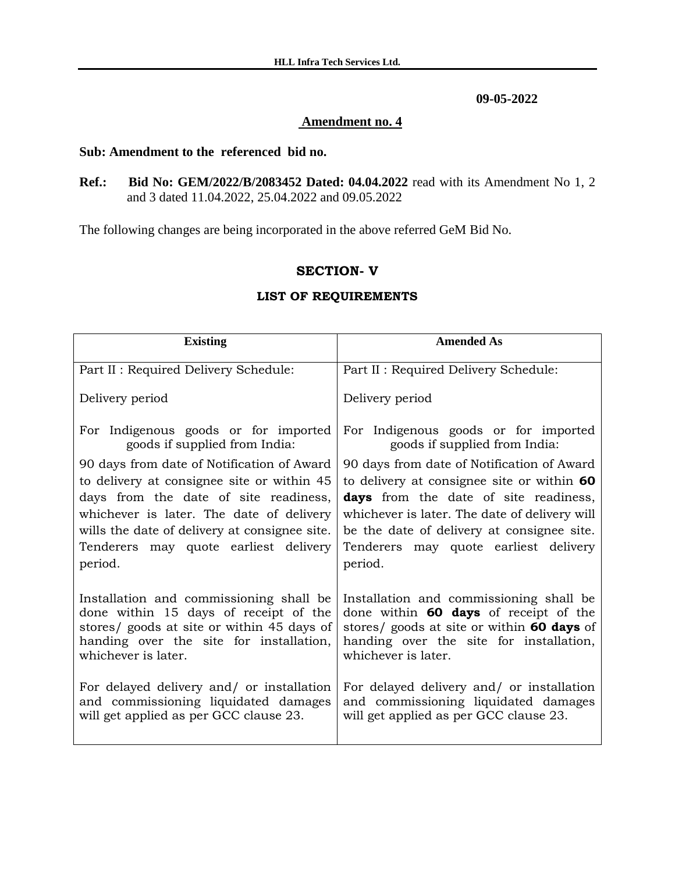**09-05-2022**

## **Amendment no. 4**

## **Sub: Amendment to the referenced bid no.**

**Ref.: Bid No: GEM/2022/B/2083452 Dated: 04.04.2022** read with its Amendment No 1, 2 and 3 dated 11.04.2022, 25.04.2022 and 09.05.2022

The following changes are being incorporated in the above referred GeM Bid No.

## **SECTION- V**

## **LIST OF REQUIREMENTS**

| <b>Existing</b>                               | <b>Amended As</b>                             |
|-----------------------------------------------|-----------------------------------------------|
| Part II : Required Delivery Schedule:         | Part II : Required Delivery Schedule:         |
| Delivery period                               | Delivery period                               |
| For Indigenous goods or for imported          | For Indigenous goods or for imported          |
| goods if supplied from India:                 | goods if supplied from India:                 |
| 90 days from date of Notification of Award    | 90 days from date of Notification of Award    |
| to delivery at consignee site or within 45    | to delivery at consignee site or within 60    |
| days from the date of site readiness,         | days from the date of site readiness,         |
| whichever is later. The date of delivery      | whichever is later. The date of delivery will |
| wills the date of delivery at consignee site. | be the date of delivery at consignee site.    |
| Tenderers may quote earliest delivery         | Tenderers may quote earliest delivery         |
| period.                                       | period.                                       |
| Installation and commissioning shall be       | Installation and commissioning shall be       |
| done within 15 days of receipt of the         | done within <b>60 days</b> of receipt of the  |
| stores/ goods at site or within 45 days of    | stores/ goods at site or within 60 days of    |
| handing over the site for installation,       | handing over the site for installation,       |
| whichever is later.                           | whichever is later.                           |
| For delayed delivery and/ or installation     | For delayed delivery and/ or installation     |
| and commissioning liquidated damages          | and commissioning liquidated damages          |
| will get applied as per GCC clause 23.        | will get applied as per GCC clause 23.        |